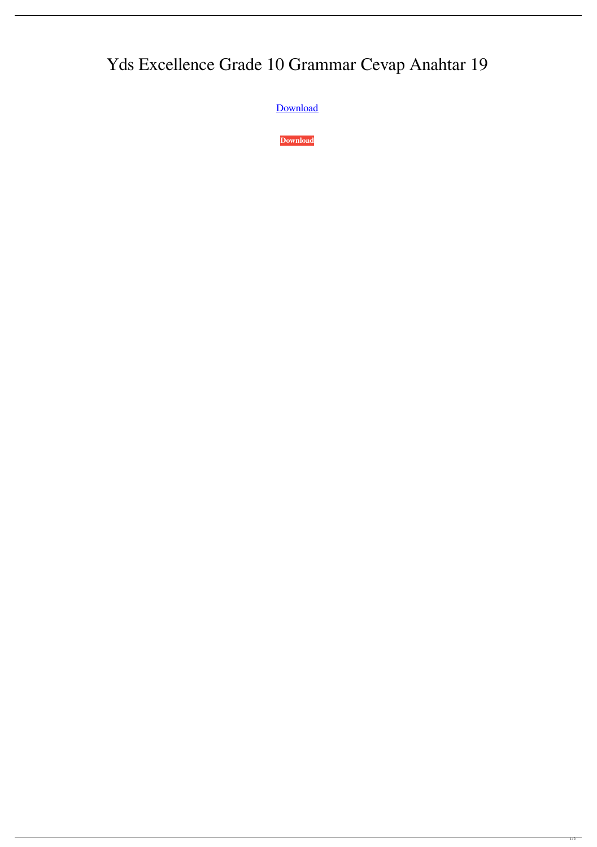## Yds Excellence Grade 10 Grammar Cevap Anahtar 19

[Download](http://evacdir.com/?metabolised=ZG93bmxvYWR8dVUxTW1WMmZId3hOalV5TnpRd09EWTJmSHd5TlRjMGZId29UU2tnY21WaFpDMWliRzluSUZ0R1lYTjBJRWRGVGww&pele=WWRzIEV4Y2VsbGVuY2UgR3JhZGUgMTAgR3JhbW1hciBDZXZhcCBBbmFodGFyIDE5WWR&stringed=portends&marzo)

**[Download](http://evacdir.com/?metabolised=ZG93bmxvYWR8dVUxTW1WMmZId3hOalV5TnpRd09EWTJmSHd5TlRjMGZId29UU2tnY21WaFpDMWliRzluSUZ0R1lYTjBJRWRGVGww&pele=WWRzIEV4Y2VsbGVuY2UgR3JhZGUgMTAgR3JhbW1hciBDZXZhcCBBbmFodGFyIDE5WWR&stringed=portends&marzo)**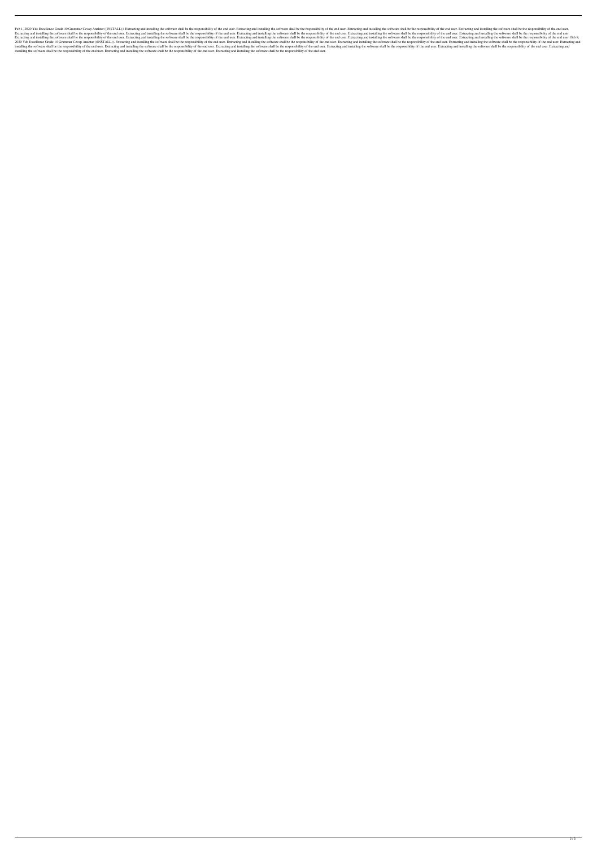Feb 1, 2020 Yds Excellence Grade 10 Grammar Cevap Anahtar ((INSTALL)). Extracting and installing the software shall be the responsibility of the end user. Extracting and installing the software shall be the responsibility Extracting and installing the software shall be the responsibility of the end user. Extracting and installing the software shall be the responsibility of the end user. Extracting and installing the software shall be the re Extracting and installing the software shall be the responsibility of the end user. Extracting and installing the software shall be the responsibility of the end user. Extracting and installing the software shall be the re 2020 Yds Excellence Grade 10 Grammar Cevap Anahtar ((INSTALL)). Extracting and installing the software shall be the responsibility of the end user. Extracting and installing the software shall be the responsibility of the installing the software shall be the responsibility of the end user. Extracting and installing the software shall be the responsibility of the end user. Extracting and installing the software shall be the responsibility of installing the software shall be the responsibility of the end user. Extracting and installing the software shall be the responsibility of the end user. Extracting and installing the software shall be the responsibility of